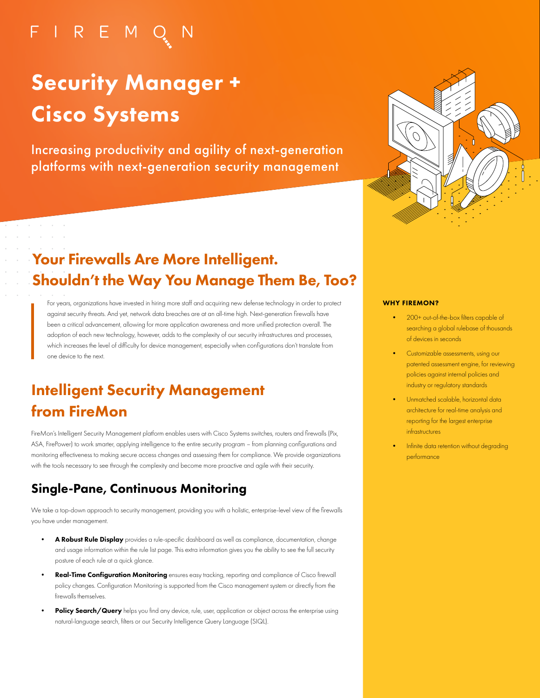# FIREMO

# Security Manager + Cisco Systems

Increasing productivity and agility of next-generation platforms with next-generation security management



# Your Firewalls Are More Intelligent. Shouldn't the Way You Manage Them Be, Too?

For years, organizations have invested in hiring more staff and acquiring new defense technology in order to protect against security threats. And yet, network data breaches are at an all-time high. Next-generation firewalls have been a critical advancement, allowing for more application awareness and more unified protection overall. The adoption of each new technology, however, adds to the complexity of our security infrastructures and processes, which increases the level of difficulty for device management, especially when configurations don't translate from one device to the next.

# Intelligent Security Management from FireMon

FireMon's Intelligent Security Management platform enables users with Cisco Systems switches, routers and firewalls (Pix, ASA, FirePower) to work smarter, applying intelligence to the entire security program – from planning configurations and monitoring effectiveness to making secure access changes and assessing them for compliance. We provide organizations with the tools necessary to see through the complexity and become more proactive and agile with their security.

## Single-Pane, Continuous Monitoring

We take a top-down approach to security management, providing you with a holistic, enterprise-level view of the firewalls you have under management.

- A Robust Rule Display provides a rule-specific dashboard as well as compliance, documentation, change and usage information within the rule list page. This extra information gives you the ability to see the full security posture of each rule at a quick glance.
- Real-Time Configuration Monitoring ensures easy tracking, reporting and compliance of Cisco firewall policy changes. Configuration Monitoring is supported from the Cisco management system or directly from the firewalls themselves.
- Policy Search/Query helps you find any device, rule, user, application or object across the enterprise using natural-language search, filters or our Security Intelligence Query Language (SIQL).

#### WHY FIREMON?

- 200+ out-of-the-box filters capable of searching a global rulebase of thousands of devices in seconds
- Customizable assessments, using our patented assessment engine, for reviewing policies against internal policies and industry or regulatory standards
- Unmatched scalable, horizontal data architecture for real-time analysis and reporting for the largest enterprise infrastructures
- Infinite data retention without degrading performance